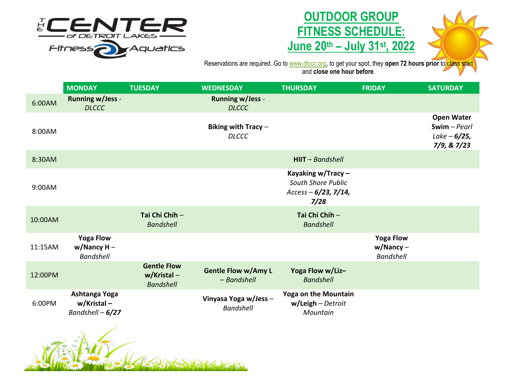

## **OUTDOOR GROUP FITNESS SCHEDULE: June 20th – July 31st, 2022**



Reservations are required. Go to <u>[www.dlccc.org,](http://www.dlccc.org/)</u> to get your spot, they **open 72 hours prior** to class start and **close one hour before**.

|         | <b>MONDAY</b>                                          | <b>TUESDAY</b>                                           | <b>WEDNESDAY</b>                          | <b>THURSDAY</b>                                                            | <b>FRIDAY</b>                                        | <b>SATURDAY</b>                                                      |
|---------|--------------------------------------------------------|----------------------------------------------------------|-------------------------------------------|----------------------------------------------------------------------------|------------------------------------------------------|----------------------------------------------------------------------|
| 6:00AM  | <b>Running w/Jess -</b><br><b>DLCCC</b>                |                                                          | <b>Running w/Jess -</b><br><b>DLCCC</b>   |                                                                            |                                                      |                                                                      |
| 8:00AM  |                                                        |                                                          | Biking with Tracy $-$<br><b>DLCCC</b>     |                                                                            |                                                      | <b>Open Water</b><br>$Swim$ - Pearl<br>$Lake - 6/25,$<br>7/9, & 7/23 |
| 8:30AM  |                                                        |                                                          |                                           | $HIIT - Bandshell$                                                         |                                                      |                                                                      |
| 9:00AM  |                                                        |                                                          |                                           | Kayaking w/Tracy -<br>South Shore Public<br>Access $-6/23$ , 7/14,<br>7/28 |                                                      |                                                                      |
| 10:00AM |                                                        | Tai Chi Chih -<br><b>Bandshell</b>                       |                                           | Tai Chi Chih -<br><b>Bandshell</b>                                         |                                                      |                                                                      |
| 11:15AM | <b>Yoga Flow</b><br>$w/N$ ancy H –<br><b>Bandshell</b> |                                                          |                                           |                                                                            | <b>Yoga Flow</b><br>$w/N$ ancy –<br><b>Bandshell</b> |                                                                      |
| 12:00PM |                                                        | <b>Gentle Flow</b><br>$w/K$ ristal –<br><b>Bandshell</b> | <b>Gentle Flow w/Amy L</b><br>- Bandshell | Yoga Flow w/Liz-<br><b>Bandshell</b>                                       |                                                      |                                                                      |
| 6:00PM  | Ashtanga Yoga<br>w/Kristal-<br>Bandshell $-6/27$       |                                                          | Vinyasa Yoga w/Jess-<br><b>Bandshell</b>  | <b>Yoga on the Mountain</b><br>$w/$ Leigh – Detroit<br>Mountain            |                                                      |                                                                      |